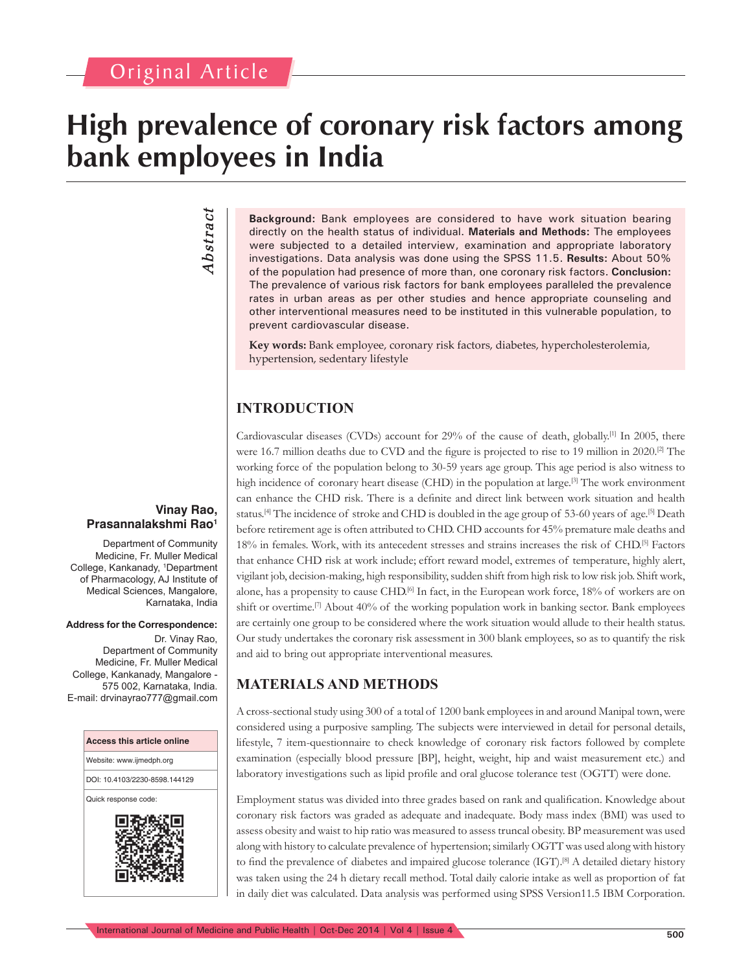# **High prevalence of coronary risk factors among bank employees in India**

*Abstract* Abstract

**Background:** Bank employees are considered to have work situation bearing directly on the health status of individual. **Materials and Methods:** The employees were subjected to a detailed interview, examination and appropriate laboratory investigations. Data analysis was done using the SPSS 11.5. **Results:** About 50% of the population had presence of more than, one coronary risk factors. **Conclusion:** The prevalence of various risk factors for bank employees paralleled the prevalence rates in urban areas as per other studies and hence appropriate counseling and other interventional measures need to be instituted in this vulnerable population, to prevent cardiovascular disease.

**Key words:** Bank employee, coronary risk factors, diabetes, hypercholesterolemia, hypertension, sedentary lifestyle

# **INTRODUCTION**

Cardiovascular diseases (CVDs) account for  $29%$  of the cause of death, globally.<sup>[1]</sup> In 2005, there were 16.7 million deaths due to CVD and the figure is projected to rise to 19 million in 2020.<sup>[2]</sup> The working force of the population belong to 30-59 years age group. This age period is also witness to high incidence of coronary heart disease (CHD) in the population at large.<sup>[3]</sup> The work environment can enhance the CHD risk. There is a definite and direct link between work situation and health status.<sup>[4]</sup> The incidence of stroke and CHD is doubled in the age group of 53-60 years of age.<sup>[5]</sup> Death before retirement age is often attributed to CHD. CHD accounts for 45% premature male deaths and 18% in females. Work, with its antecedent stresses and strains increases the risk of CHD.[5] Factors that enhance CHD risk at work include; effort reward model, extremes of temperature, highly alert, vigilant job, decision-making, high responsibility, sudden shift from high risk to low risk job. Shift work, alone, has a propensity to cause CHD.<sup>[6]</sup> In fact, in the European work force, 18% of workers are on shift or overtime.<sup>[7]</sup> About 40% of the working population work in banking sector. Bank employees are certainly one group to be considered where the work situation would allude to their health status. Our study undertakes the coronary risk assessment in 300 blank employees, so as to quantify the risk and aid to bring out appropriate interventional measures.

## **MATERIALS AND METHODS**

A cross-sectional study using 300 of a total of 1200 bank employees in and around Manipal town, were considered using a purposive sampling. The subjects were interviewed in detail for personal details, lifestyle, 7 item-questionnaire to check knowledge of coronary risk factors followed by complete examination (especially blood pressure [BP], height, weight, hip and waist measurement etc.) and laboratory investigations such as lipid profile and oral glucose tolerance test (OGTT) were done.

Employment status was divided into three grades based on rank and qualification. Knowledge about coronary risk factors was graded as adequate and inadequate. Body mass index (BMI) was used to assess obesity and waist to hip ratio was measured to assess truncal obesity. BP measurement was used along with history to calculate prevalence of hypertension; similarly OGTT was used along with history to find the prevalence of diabetes and impaired glucose tolerance (IGT).<sup>[8]</sup> A detailed dietary history was taken using the 24 h dietary recall method. Total daily calorie intake as well as proportion of fat in daily diet was calculated. Data analysis was performed using SPSS Version11.5 IBM Corporation.

#### **Vinay Rao, Prasannalakshmi Rao1**

Department of Community Medicine, Fr. Muller Medical College, Kankanady, 1 Department of Pharmacology, AJ Institute of Medical Sciences, Mangalore, Karnataka, India

#### **Address for the Correspondence:**

Dr. Vinay Rao, Department of Community Medicine, Fr. Muller Medical College, Kankanady, Mangalore - 575 002, Karnataka, India. E-mail: drvinayrao777@gmail.com

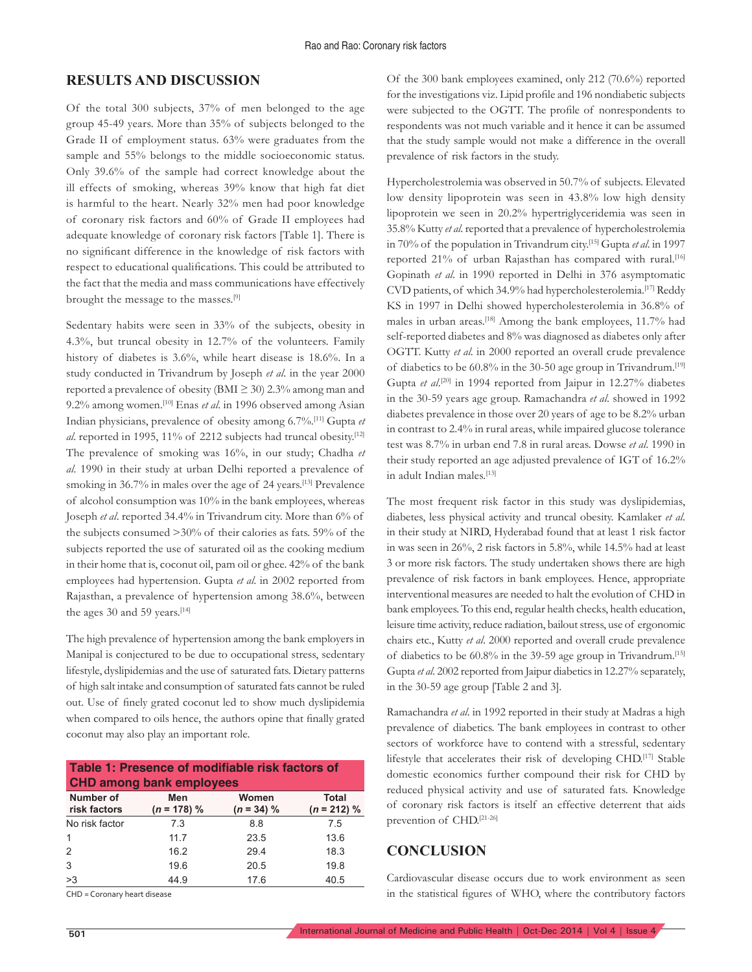## **RESULTS AND DISCUSSION**

Of the total 300 subjects, 37% of men belonged to the age group 45-49 years. More than 35% of subjects belonged to the Grade II of employment status. 63% were graduates from the sample and 55% belongs to the middle socioeconomic status. Only 39.6% of the sample had correct knowledge about the ill effects of smoking, whereas 39% know that high fat diet is harmful to the heart. Nearly 32% men had poor knowledge of coronary risk factors and 60% of Grade II employees had adequate knowledge of coronary risk factors [Table 1]. There is no significant difference in the knowledge of risk factors with respect to educational qualifications. This could be attributed to the fact that the media and mass communications have effectively brought the message to the masses.[9]

Sedentary habits were seen in 33% of the subjects, obesity in 4.3%, but truncal obesity in 12.7% of the volunteers. Family history of diabetes is 3.6%, while heart disease is 18.6%. In a study conducted in Trivandrum by Joseph *et al*. in the year 2000 reported a prevalence of obesity (BMI  $\geq$  30) 2.3% among man and 9.2% among women.[10] Enas *et al*. in 1996 observed among Asian Indian physicians, prevalence of obesity among 6.7%.[11] Gupta *et al*. reported in 1995, 11% of 2212 subjects had truncal obesity.[12] The prevalence of smoking was 16%, in our study; Chadha *et al*. 1990 in their study at urban Delhi reported a prevalence of smoking in 36.7% in males over the age of 24 years.[13] Prevalence of alcohol consumption was 10% in the bank employees, whereas Joseph *et al*. reported 34.4% in Trivandrum city. More than 6% of the subjects consumed >30% of their calories as fats. 59% of the subjects reported the use of saturated oil as the cooking medium in their home that is, coconut oil, pam oil or ghee. 42% of the bank employees had hypertension. Gupta *et al*. in 2002 reported from Rajasthan, a prevalence of hypertension among 38.6%, between the ages 30 and 59 years.<sup>[14]</sup>

The high prevalence of hypertension among the bank employers in Manipal is conjectured to be due to occupational stress, sedentary lifestyle, dyslipidemias and the use of saturated fats. Dietary patterns of high salt intake and consumption of saturated fats cannot be ruled out. Use of finely grated coconut led to show much dyslipidemia when compared to oils hence, the authors opine that finally grated coconut may also play an important role.

| Table 1: Presence of modifiable risk factors of<br><b>CHD among bank employees</b> |                      |                       |                               |  |  |  |
|------------------------------------------------------------------------------------|----------------------|-----------------------|-------------------------------|--|--|--|
| Number of<br>risk factors                                                          | Men<br>$(n = 178) %$ | Women<br>$(n = 34)$ % | <b>Total</b><br>$(n = 212)$ % |  |  |  |
| No risk factor                                                                     | 7.3                  | 8.8                   | 7.5                           |  |  |  |
| $\mathbf{1}$                                                                       | 11.7                 | 23.5                  | 13.6                          |  |  |  |
| 2                                                                                  | 16.2                 | 29.4                  | 18.3                          |  |  |  |
| 3                                                                                  | 19.6                 | 20.5                  | 19.8                          |  |  |  |
| >3                                                                                 | 44.9                 | 17.6                  | 40.5                          |  |  |  |

CHD = Coronary heart disease

Of the 300 bank employees examined, only 212 (70.6%) reported for the investigations viz. Lipid profile and 196 nondiabetic subjects were subjected to the OGTT. The profile of nonrespondents to respondents was not much variable and it hence it can be assumed that the study sample would not make a difference in the overall prevalence of risk factors in the study.

Hypercholestrolemia was observed in 50.7% of subjects. Elevated low density lipoprotein was seen in 43.8% low high density lipoprotein we seen in 20.2% hypertriglyceridemia was seen in 35.8% Kutty *et al*. reported that a prevalence of hypercholestrolemia in 70% of the population in Trivandrum city.[15] Gupta *et al*. in 1997 reported 21% of urban Rajasthan has compared with rural.<sup>[16]</sup> Gopinath *et al*. in 1990 reported in Delhi in 376 asymptomatic CVD patients, of which 34.9% had hypercholesterolemia.<sup>[17]</sup> Reddy KS in 1997 in Delhi showed hypercholesterolemia in 36.8% of males in urban areas.[18] Among the bank employees, 11.7% had self-reported diabetes and 8% was diagnosed as diabetes only after OGTT. Kutty *et al*. in 2000 reported an overall crude prevalence of diabetics to be 60.8% in the 30-50 age group in Trivandrum.[19] Gupta et al.<sup>[20]</sup> in 1994 reported from Jaipur in 12.27% diabetes in the 30-59 years age group. Ramachandra *et al*. showed in 1992 diabetes prevalence in those over 20 years of age to be 8.2% urban in contrast to 2.4% in rural areas, while impaired glucose tolerance test was 8.7% in urban end 7.8 in rural areas. Dowse *et al*. 1990 in their study reported an age adjusted prevalence of IGT of 16.2% in adult Indian males.<sup>[13]</sup>

The most frequent risk factor in this study was dyslipidemias, diabetes, less physical activity and truncal obesity. Kamlaker *et al*. in their study at NIRD, Hyderabad found that at least 1 risk factor in was seen in 26%, 2 risk factors in 5.8%, while 14.5% had at least 3 or more risk factors. The study undertaken shows there are high prevalence of risk factors in bank employees. Hence, appropriate interventional measures are needed to halt the evolution of CHD in bank employees. To this end, regular health checks, health education, leisure time activity, reduce radiation, bailout stress, use of ergonomic chairs etc., Kutty *et al*. 2000 reported and overall crude prevalence of diabetics to be 60.8% in the 39-59 age group in Trivandrum.[15] Gupta *et al*. 2002 reported from Jaipur diabetics in 12.27% separately, in the 30-59 age group [Table 2 and 3].

Ramachandra *et al*. in 1992 reported in their study at Madras a high prevalence of diabetics. The bank employees in contrast to other sectors of workforce have to contend with a stressful, sedentary lifestyle that accelerates their risk of developing CHD.[17] Stable domestic economics further compound their risk for CHD by reduced physical activity and use of saturated fats. Knowledge of coronary risk factors is itself an effective deterrent that aids prevention of CHD.[21-26]

## **CONCLUSION**

Cardiovascular disease occurs due to work environment as seen in the statistical figures of WHO, where the contributory factors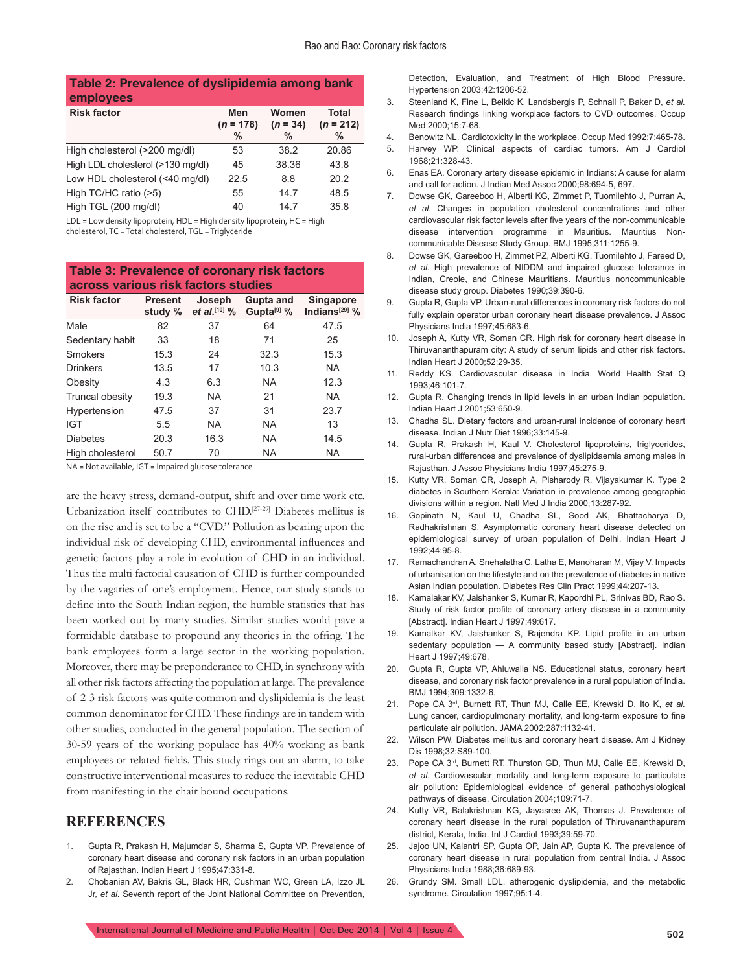#### **Table 2: Prevalence of dyslipidemia among bank employees**

| <b>Risk factor</b>                | Men<br>$(n = 178)$ | Women<br>$(n = 34)$ | <b>Total</b><br>$(n = 212)$ |
|-----------------------------------|--------------------|---------------------|-----------------------------|
|                                   | $\%$               | $\%$                | $\frac{0}{0}$               |
| High cholesterol (>200 mg/dl)     | 53                 | 38.2                | 20.86                       |
| High LDL cholesterol (>130 mg/dl) | 45                 | 38.36               | 43.8                        |
| Low HDL cholesterol (<40 mg/dl)   | 22.5               | 8.8                 | 20.2                        |
| High TC/HC ratio (>5)             | 55                 | 14.7                | 48.5                        |
| High TGL (200 mg/dl)              | 40                 | 147                 | 35.8                        |

LDL = Low density lipoprotein, HDL = High density lipoprotein, HC = High cholesterol, TC = Total cholesterol, TGL = Triglyceride

**Table 3: Prevalence of coronary risk factors across various risk factors studies**

| <b>Risk factor</b> | <b>Present</b><br>study % | Joseph<br>et al. [10] $\%$ | Gupta and<br>Gupta <sup>[9]</sup> % | Singapore<br>Indians $^{[29]}$ % |
|--------------------|---------------------------|----------------------------|-------------------------------------|----------------------------------|
| Male               | 82                        | 37                         | 64                                  | 47.5                             |
| Sedentary habit    | 33                        | 18                         | 71                                  | 25                               |
| Smokers            | 15.3                      | 24                         | 32.3                                | 15.3                             |
| <b>Drinkers</b>    | 13.5                      | 17                         | 10.3                                | <b>NA</b>                        |
| Obesity            | 4.3                       | 6.3                        | <b>NA</b>                           | 12.3                             |
| Truncal obesity    | 19.3                      | <b>NA</b>                  | 21                                  | <b>NA</b>                        |
| Hypertension       | 47.5                      | 37                         | 31                                  | 23.7                             |
| <b>IGT</b>         | 5.5                       | NA.                        | NA.                                 | 13                               |
| <b>Diabetes</b>    | 20.3                      | 16.3                       | <b>NA</b>                           | 14.5                             |
| High cholesterol   | 50.7                      | 70                         | <b>NA</b>                           | <b>NA</b>                        |

NA = Not available, IGT = Impaired glucose tolerance

are the heavy stress, demand-output, shift and over time work etc. Urbanization itself contributes to CHD.[27-29] Diabetes mellitus is on the rise and is set to be a "CVD." Pollution as bearing upon the individual risk of developing CHD, environmental influences and genetic factors play a role in evolution of CHD in an individual. Thus the multi factorial causation of CHD is further compounded by the vagaries of one's employment. Hence, our study stands to define into the South Indian region, the humble statistics that has been worked out by many studies. Similar studies would pave a formidable database to propound any theories in the offing. The bank employees form a large sector in the working population. Moreover, there may be preponderance to CHD, in synchrony with all other risk factors affecting the population at large. The prevalence of 2-3 risk factors was quite common and dyslipidemia is the least common denominator for CHD. These findings are in tandem with other studies, conducted in the general population. The section of 30-59 years of the working populace has 40% working as bank employees or related fields. This study rings out an alarm, to take constructive interventional measures to reduce the inevitable CHD from manifesting in the chair bound occupations.

#### **REFERENCES**

- Gupta R, Prakash H, Majumdar S, Sharma S, Gupta VP. Prevalence of coronary heart disease and coronary risk factors in an urban population of Rajasthan. Indian Heart J 1995;47:331-8.
- 2. Chobanian AV, Bakris GL, Black HR, Cushman WC, Green LA, Izzo JL Jr, *et al*. Seventh report of the Joint National Committee on Prevention,

Detection, Evaluation, and Treatment of High Blood Pressure. Hypertension 2003;42:1206-52.

- 3. Steenland K, Fine L, Belkic K, Landsbergis P, Schnall P, Baker D, *et al.* Research findings linking workplace factors to CVD outcomes. Occup Med 2000;15:7-68.
- 4. Benowitz NL. Cardiotoxicity in the workplace. Occup Med 1992;7:465-78.
- 5. Harvey WP. Clinical aspects of cardiac tumors. Am J Cardiol 1968;21:328-43.
- 6. Enas EA. Coronary artery disease epidemic in Indians: A cause for alarm and call for action. J Indian Med Assoc 2000;98:694-5, 697.
- 7. Dowse GK, Gareeboo H, Alberti KG, Zimmet P, Tuomilehto J, Purran A, *et al*. Changes in population cholesterol concentrations and other cardiovascular risk factor levels after five years of the non-communicable disease intervention programme in Mauritius. Mauritius Noncommunicable Disease Study Group. BMJ 1995;311:1255-9.
- 8. Dowse GK, Gareeboo H, Zimmet PZ, Alberti KG, Tuomilehto J, Fareed D, *et al.* High prevalence of NIDDM and impaired glucose tolerance in Indian, Creole, and Chinese Mauritians. Mauritius noncommunicable disease study group. Diabetes 1990;39:390-6.
- 9. Gupta R, Gupta VP. Urban-rural differences in coronary risk factors do not fully explain operator urban coronary heart disease prevalence. J Assoc Physicians India 1997;45:683-6.
- 10. Joseph A, Kutty VR, Soman CR. High risk for coronary heart disease in Thiruvananthapuram city: A study of serum lipids and other risk factors. Indian Heart J 2000;52:29-35.
- 11. Reddy KS. Cardiovascular disease in India. World Health Stat Q 1993;46:101-7.
- 12. Gupta R. Changing trends in lipid levels in an urban Indian population. Indian Heart J 2001;53:650-9.
- 13. Chadha SL. Dietary factors and urban-rural incidence of coronary heart disease. Indian J Nutr Diet 1996;33:145-9.
- 14. Gupta R, Prakash H, Kaul V. Cholesterol lipoproteins, triglycerides, rural-urban differences and prevalence of dyslipidaemia among males in Rajasthan. J Assoc Physicians India 1997;45:275-9.
- 15. Kutty VR, Soman CR, Joseph A, Pisharody R, Vijayakumar K. Type 2 diabetes in Southern Kerala: Variation in prevalence among geographic divisions within a region. Natl Med J India 2000;13:287-92.
- 16. Gopinath N, Kaul U, Chadha SL, Sood AK, Bhattacharya D, Radhakrishnan S. Asymptomatic coronary heart disease detected on epidemiological survey of urban population of Delhi. Indian Heart J 1992;44:95-8.
- 17. Ramachandran A, Snehalatha C, Latha E, Manoharan M, Vijay V. Impacts of urbanisation on the lifestyle and on the prevalence of diabetes in native Asian Indian population. Diabetes Res Clin Pract 1999;44:207-13.
- 18. Kamalakar KV, Jaishanker S, Kumar R, Kapordhi PL, Srinivas BD, Rao S. Study of risk factor profile of coronary artery disease in a community [Abstract]. Indian Heart J 1997;49:617.
- 19. Kamalkar KV, Jaishanker S, Rajendra KP. Lipid profile in an urban sedentary population - A community based study [Abstract]. Indian Heart J 1997;49:678.
- 20. Gupta R, Gupta VP, Ahluwalia NS. Educational status, coronary heart disease, and coronary risk factor prevalence in a rural population of India. BMJ 1994;309:1332-6.
- 21. Pope CA 3rd, Burnett RT, Thun MJ, Calle EE, Krewski D, Ito K, *et al.* Lung cancer, cardiopulmonary mortality, and long-term exposure to fine particulate air pollution. JAMA 2002;287:1132-41.
- 22. Wilson PW. Diabetes mellitus and coronary heart disease. Am J Kidney Dis 1998;32:S89-100.
- 23. Pope CA 3rd, Burnett RT, Thurston GD, Thun MJ, Calle EE, Krewski D, *et al*. Cardiovascular mortality and long-term exposure to particulate air pollution: Epidemiological evidence of general pathophysiological pathways of disease. Circulation 2004;109:71-7.
- 24. Kutty VR, Balakrishnan KG, Jayasree AK, Thomas J. Prevalence of coronary heart disease in the rural population of Thiruvananthapuram district, Kerala, India. Int J Cardiol 1993;39:59-70.
- 25. Jajoo UN, Kalantri SP, Gupta OP, Jain AP, Gupta K. The prevalence of coronary heart disease in rural population from central India. J Assoc Physicians India 1988;36:689-93.
- 26. Grundy SM. Small LDL, atherogenic dyslipidemia, and the metabolic syndrome. Circulation 1997;95:1-4.